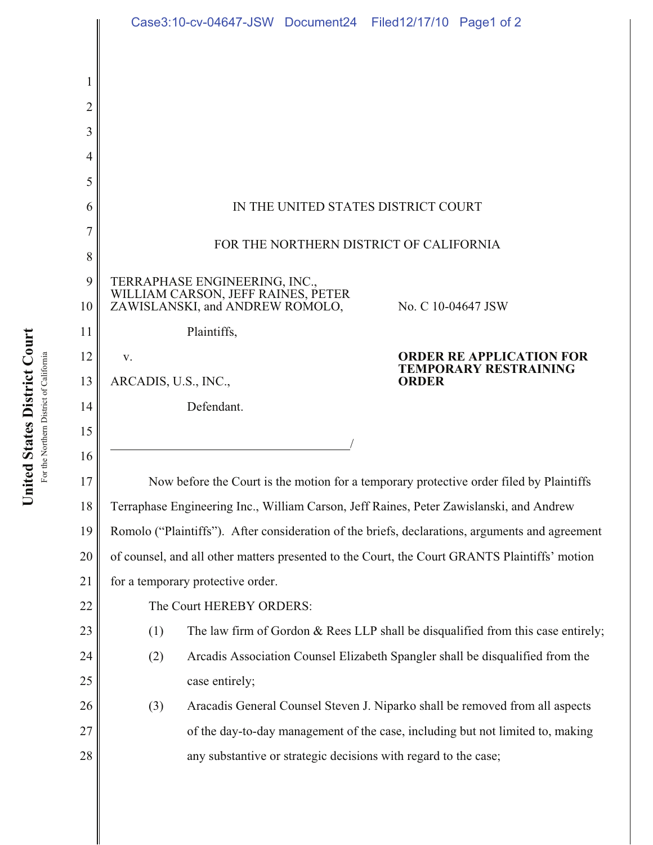|    | Case3:10-cv-04647-JSW Document24 Filed12/17/10 Page1 of 2                                       |
|----|-------------------------------------------------------------------------------------------------|
|    |                                                                                                 |
| 1  |                                                                                                 |
| 2  |                                                                                                 |
| 3  |                                                                                                 |
| 4  |                                                                                                 |
| 5  |                                                                                                 |
| 6  | IN THE UNITED STATES DISTRICT COURT                                                             |
| 7  |                                                                                                 |
| 8  | FOR THE NORTHERN DISTRICT OF CALIFORNIA                                                         |
| 9  | TERRAPHASE ENGINEERING, INC., WILLIAM CARSON, JEFF RAINES, PETER                                |
| 10 | ZAWISLANSKI, and ANDREW ROMOLO,<br>No. C 10-04647 JSW                                           |
| 11 | Plaintiffs,                                                                                     |
| 12 | <b>ORDER RE APPLICATION FOR</b><br>V.<br><b>TEMPORARY RESTRAINING</b>                           |
| 13 | ARCADIS, U.S., INC.,<br><b>ORDER</b>                                                            |
| 14 | Defendant.                                                                                      |
|    |                                                                                                 |
| 15 |                                                                                                 |
| 16 |                                                                                                 |
| 17 | Now before the Court is the motion for a temporary protective order filed by Plaintiffs         |
| 18 | Terraphase Engineering Inc., William Carson, Jeff Raines, Peter Zawislanski, and Andrew         |
| 19 | Romolo ("Plaintiffs"). After consideration of the briefs, declarations, arguments and agreement |
| 20 | of counsel, and all other matters presented to the Court, the Court GRANTS Plaintiffs' motion   |
| 21 | for a temporary protective order.                                                               |
| 22 | The Court HEREBY ORDERS:                                                                        |
| 23 | (1)<br>The law firm of Gordon $&$ Rees LLP shall be disqualified from this case entirely;       |
| 24 | Arcadis Association Counsel Elizabeth Spangler shall be disqualified from the<br>(2)            |
| 25 | case entirely;                                                                                  |
| 26 | Aracadis General Counsel Steven J. Niparko shall be removed from all aspects<br>(3)             |
| 27 | of the day-to-day management of the case, including but not limited to, making                  |
| 28 | any substantive or strategic decisions with regard to the case;                                 |

For the Northern District of California For the Northern District of California

United States District Court **United States District Court**